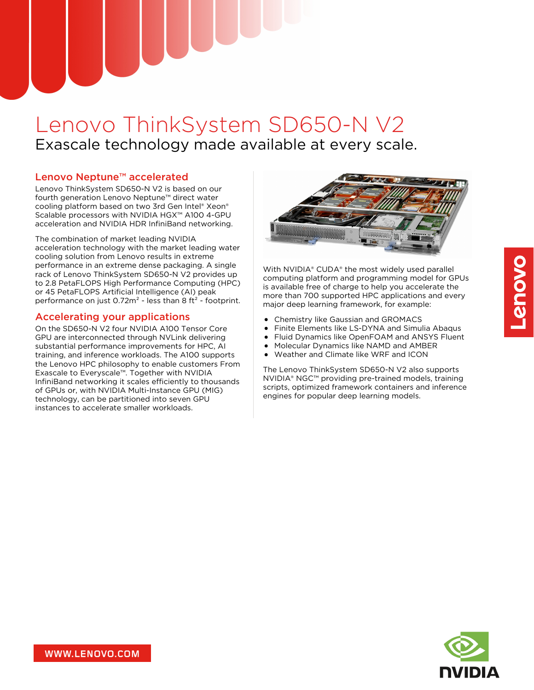# Lenovo ThinkSystem SD650-N V2 Exascale technology made available at every scale.

# Lenovo Neptune™ accelerated

Lenovo ThinkSystem SD650-N V2 is based on our fourth generation Lenovo Neptune™ direct water cooling platform based on two 3rd Gen Intel® Xeon® Scalable processors with NVIDIA HGX™ A100 4-GPU acceleration and NVIDIA HDR InfiniBand networking.

The combination of market leading NVIDIA acceleration technology with the market leading water cooling solution from Lenovo results in extreme performance in an extreme dense packaging. A single rack of Lenovo ThinkSystem SD650-N V2 provides up to 2.8 PetaFLOPS High Performance Computing (HPC) or 45 PetaFLOPS Artificial Intelligence (AI) peak performance on just  $0.72m^2$  - less than 8 ft<sup>2</sup> - footprint.

## Accelerating your applications

On the SD650-N V2 four NVIDIA A100 Tensor Core GPU are interconnected through NVLink delivering substantial performance improvements for HPC, AI training, and inference workloads. The A100 supports the Lenovo HPC philosophy to enable customers From Exascale to Everyscale™. Together with NVIDIA InfiniBand networking it scales efficiently to thousands of GPUs or, with NVIDIA Multi-Instance GPU (MIG) technology, can be partitioned into seven GPU instances to accelerate smaller workloads.



With NVIDIA® CUDA® the most widely used parallel computing platform and programming model for GPUs is available free of charge to help you accelerate the more than 700 supported HPC applications and every major deep learning framework, for example:

- Chemistry like Gaussian and GROMACS
- $\bullet$ Finite Elements like LS-DYNA and Simulia Abaqus
- Fluid Dynamics like OpenFOAM and ANSYS Fluent
- Molecular Dynamics like NAMD and AMBER
- Weather and Climate like WRF and ICON

The Lenovo ThinkSystem SD650-N V2 also supports NVIDIA® NGC™ providing pre-trained models, training scripts, optimized framework containers and inference engines for popular deep learning models.

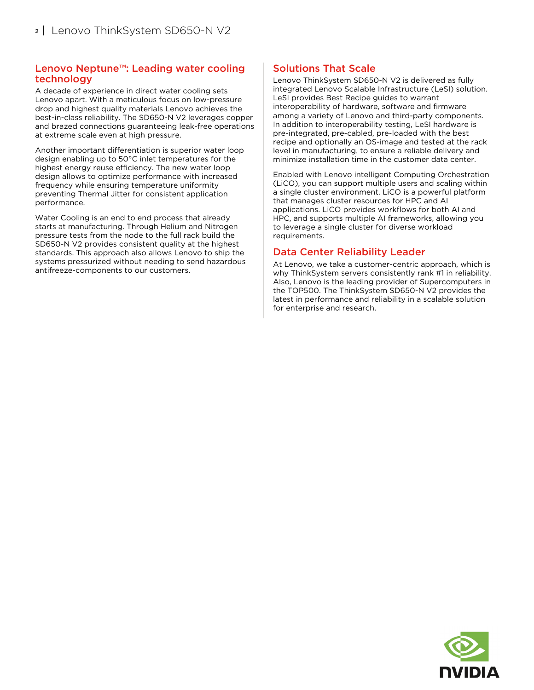#### Lenovo Neptune™: Leading water cooling technology

A decade of experience in direct water cooling sets Lenovo apart. With a meticulous focus on low-pressure drop and highest quality materials Lenovo achieves the best-in-class reliability. The SD650-N V2 leverages copper and brazed connections guaranteeing leak-free operations at extreme scale even at high pressure.

Another important differentiation is superior water loop design enabling up to 50°C inlet temperatures for the highest energy reuse efficiency. The new water loop design allows to optimize performance with increased frequency while ensuring temperature uniformity preventing Thermal Jitter for consistent application performance.

Water Cooling is an end to end process that already starts at manufacturing. Through Helium and Nitrogen pressure tests from the node to the full rack build the SD650-N V2 provides consistent quality at the highest standards. This approach also allows Lenovo to ship the systems pressurized without needing to send hazardous antifreeze-components to our customers.

## Solutions That Scale

Lenovo ThinkSystem SD650-N V2 is delivered as fully integrated Lenovo Scalable Infrastructure (LeSI) solution. LeSI provides Best Recipe guides to warrant interoperability of hardware, software and firmware among a variety of Lenovo and third-party components. In addition to interoperability testing, LeSI hardware is pre-integrated, pre-cabled, pre-loaded with the best recipe and optionally an OS-image and tested at the rack level in manufacturing, to ensure a reliable delivery and minimize installation time in the customer data center.

Enabled with Lenovo intelligent Computing Orchestration (LiCO), you can support multiple users and scaling within a single cluster environment. LiCO is a powerful platform that manages cluster resources for HPC and AI applications. LiCO provides workflows for both AI and HPC, and supports multiple AI frameworks, allowing you to leverage a single cluster for diverse workload requirements.

## Data Center Reliability Leader

At Lenovo, we take a customer-centric approach, which is why ThinkSystem servers consistently rank #1 in reliability. Also, Lenovo is the leading provider of Supercomputers in the TOP500. The ThinkSystem SD650-N V2 provides the latest in performance and reliability in a scalable solution for enterprise and research.